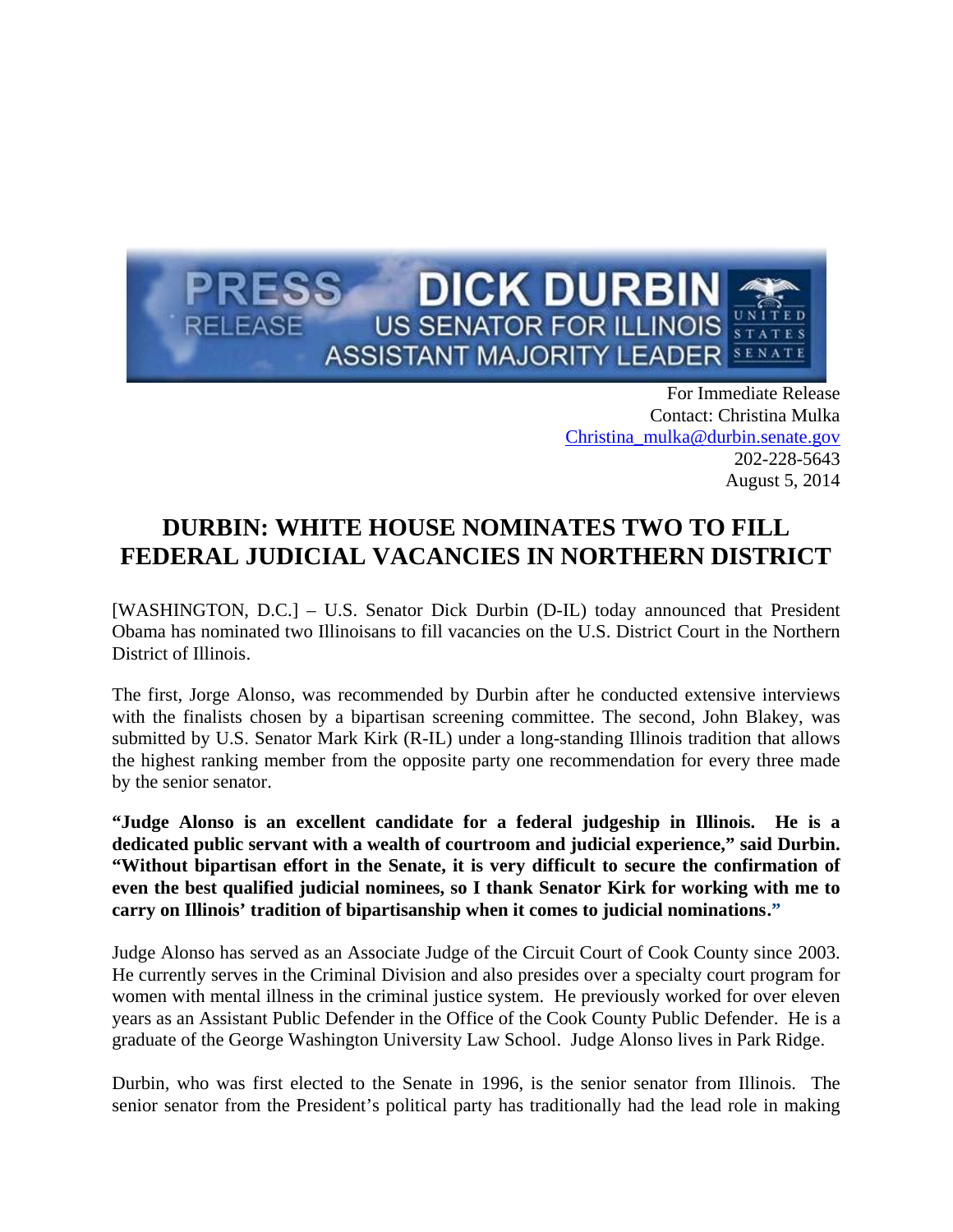

For Immediate Release Contact: Christina Mulka Christina\_mulka@durbin.senate.gov 202-228-5643 August 5, 2014

## **DURBIN: WHITE HOUSE NOMINATES TWO TO FILL FEDERAL JUDICIAL VACANCIES IN NORTHERN DISTRICT**

[WASHINGTON, D.C.] – U.S. Senator Dick Durbin (D-IL) today announced that President Obama has nominated two Illinoisans to fill vacancies on the U.S. District Court in the Northern District of Illinois.

The first, Jorge Alonso, was recommended by Durbin after he conducted extensive interviews with the finalists chosen by a bipartisan screening committee. The second, John Blakey, was submitted by U.S. Senator Mark Kirk (R-IL) under a long-standing Illinois tradition that allows the highest ranking member from the opposite party one recommendation for every three made by the senior senator.

**"Judge Alonso is an excellent candidate for a federal judgeship in Illinois. He is a dedicated public servant with a wealth of courtroom and judicial experience," said Durbin. "Without bipartisan effort in the Senate, it is very difficult to secure the confirmation of even the best qualified judicial nominees, so I thank Senator Kirk for working with me to carry on Illinois' tradition of bipartisanship when it comes to judicial nominations."**

Judge Alonso has served as an Associate Judge of the Circuit Court of Cook County since 2003. He currently serves in the Criminal Division and also presides over a specialty court program for women with mental illness in the criminal justice system. He previously worked for over eleven years as an Assistant Public Defender in the Office of the Cook County Public Defender. He is a graduate of the George Washington University Law School. Judge Alonso lives in Park Ridge.

Durbin, who was first elected to the Senate in 1996, is the senior senator from Illinois. The senior senator from the President's political party has traditionally had the lead role in making